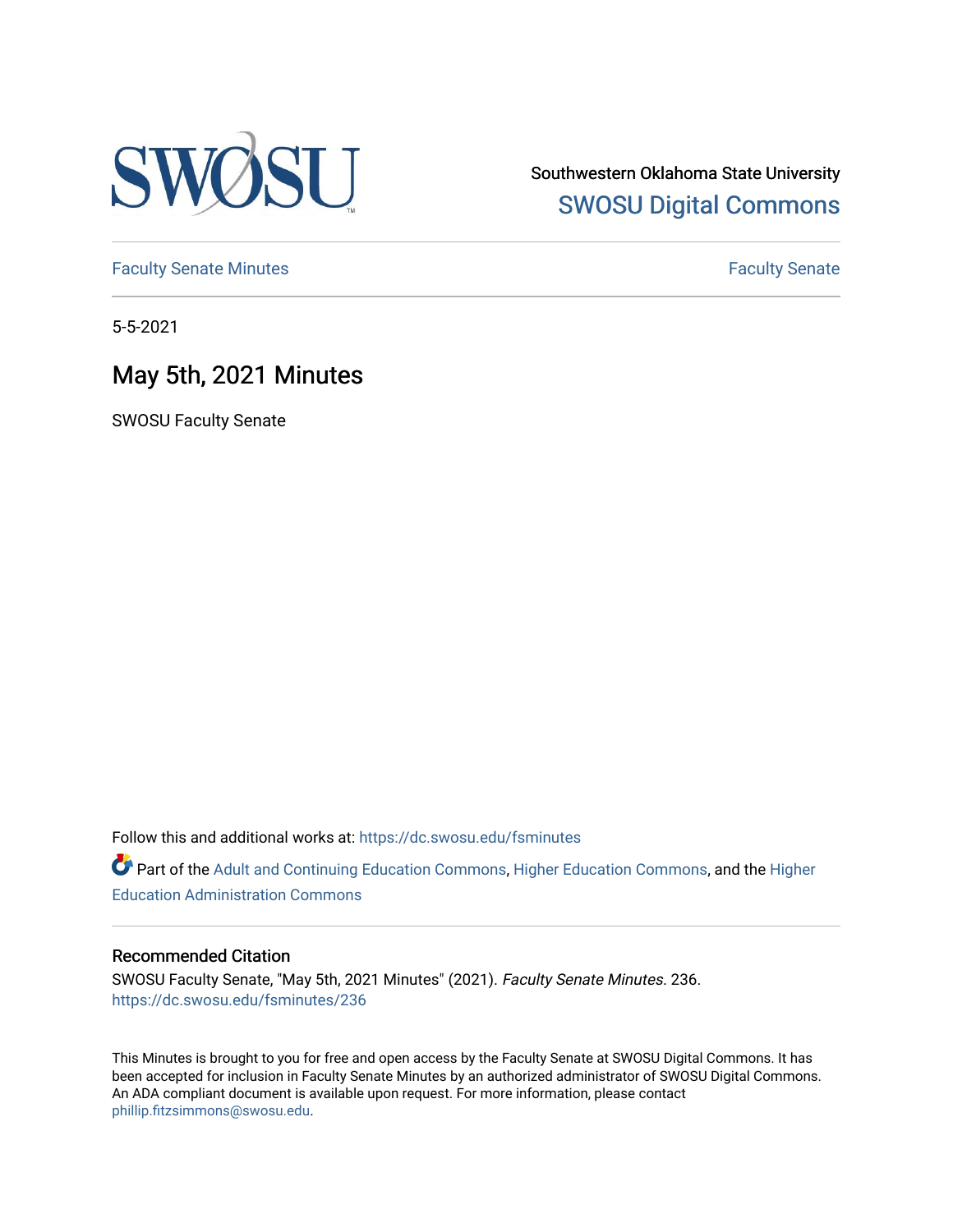

Southwestern Oklahoma State University [SWOSU Digital Commons](https://dc.swosu.edu/) 

[Faculty Senate Minutes](https://dc.swosu.edu/fsminutes) **Faculty** Senate Minutes

5-5-2021

## May 5th, 2021 Minutes

SWOSU Faculty Senate

Follow this and additional works at: [https://dc.swosu.edu/fsminutes](https://dc.swosu.edu/fsminutes?utm_source=dc.swosu.edu%2Ffsminutes%2F236&utm_medium=PDF&utm_campaign=PDFCoverPages) 

Part of the [Adult and Continuing Education Commons,](http://network.bepress.com/hgg/discipline/1375?utm_source=dc.swosu.edu%2Ffsminutes%2F236&utm_medium=PDF&utm_campaign=PDFCoverPages) [Higher Education Commons,](http://network.bepress.com/hgg/discipline/1245?utm_source=dc.swosu.edu%2Ffsminutes%2F236&utm_medium=PDF&utm_campaign=PDFCoverPages) and the [Higher](http://network.bepress.com/hgg/discipline/791?utm_source=dc.swosu.edu%2Ffsminutes%2F236&utm_medium=PDF&utm_campaign=PDFCoverPages) [Education Administration Commons](http://network.bepress.com/hgg/discipline/791?utm_source=dc.swosu.edu%2Ffsminutes%2F236&utm_medium=PDF&utm_campaign=PDFCoverPages) 

#### Recommended Citation

SWOSU Faculty Senate, "May 5th, 2021 Minutes" (2021). Faculty Senate Minutes. 236. [https://dc.swosu.edu/fsminutes/236](https://dc.swosu.edu/fsminutes/236?utm_source=dc.swosu.edu%2Ffsminutes%2F236&utm_medium=PDF&utm_campaign=PDFCoverPages) 

This Minutes is brought to you for free and open access by the Faculty Senate at SWOSU Digital Commons. It has been accepted for inclusion in Faculty Senate Minutes by an authorized administrator of SWOSU Digital Commons. An ADA compliant document is available upon request. For more information, please contact [phillip.fitzsimmons@swosu.edu](mailto:phillip.fitzsimmons@swosu.edu).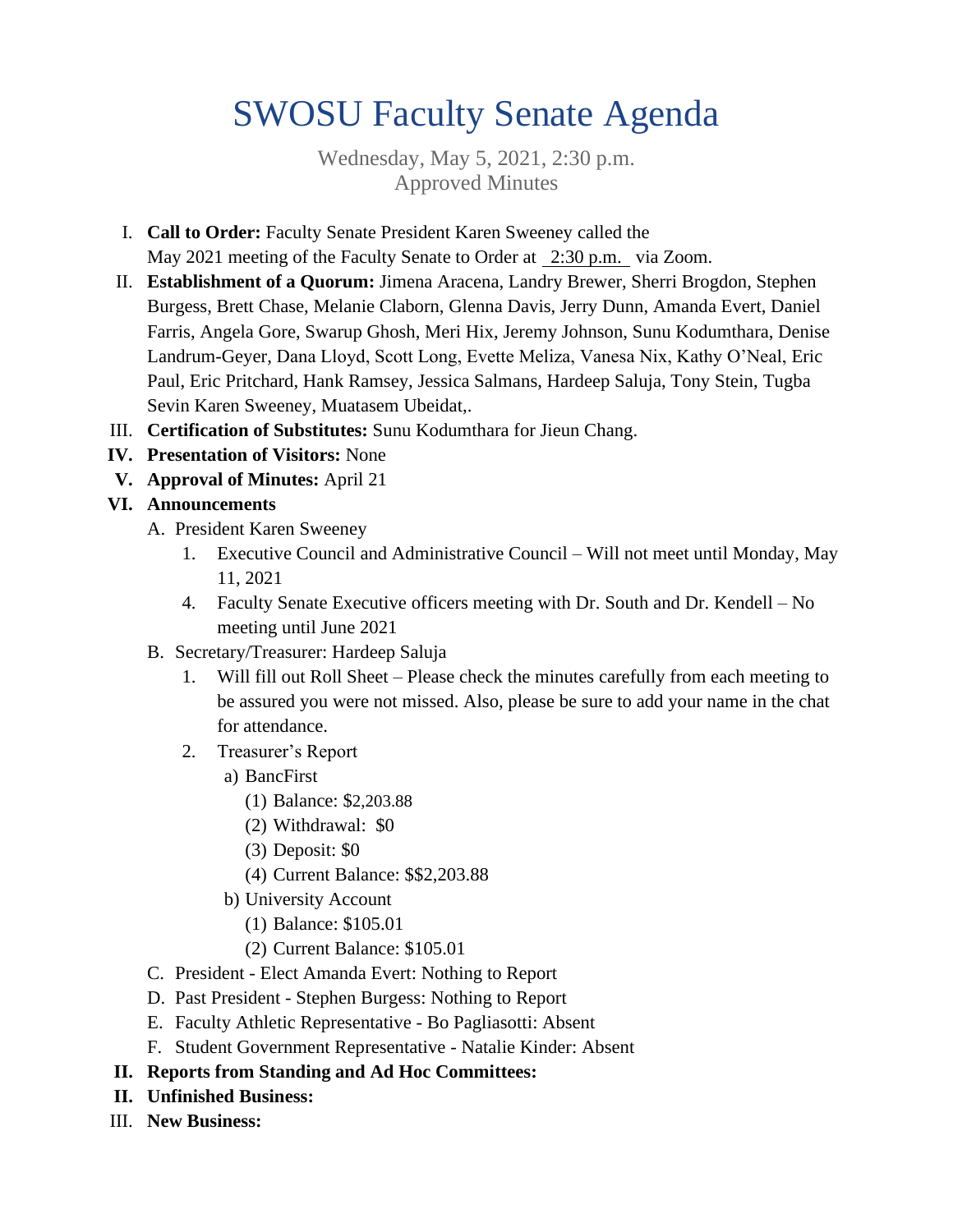# SWOSU Faculty Senate Agenda

Wednesday, May 5, 2021, 2:30 p.m. Approved Minutes

- I. **Call to Order:** Faculty Senate President Karen Sweeney called the May 2021 meeting of the Faculty Senate to Order at 2:30 p.m. via Zoom.
- II. **Establishment of a Quorum:** Jimena Aracena, Landry Brewer, Sherri Brogdon, Stephen Burgess, Brett Chase, Melanie Claborn, Glenna Davis, Jerry Dunn, Amanda Evert, Daniel Farris, Angela Gore, Swarup Ghosh, Meri Hix, Jeremy Johnson, Sunu Kodumthara, Denise Landrum-Geyer, Dana Lloyd, Scott Long, Evette Meliza, Vanesa Nix, Kathy O'Neal, Eric Paul, Eric Pritchard, Hank Ramsey, Jessica Salmans, Hardeep Saluja, Tony Stein, Tugba Sevin Karen Sweeney, Muatasem Ubeidat,.
- III. **Certification of Substitutes:** Sunu Kodumthara for Jieun Chang.
- **IV. Presentation of Visitors:** None
- **V. Approval of Minutes:** April 21

### **VI. Announcements**

- A. President Karen Sweeney
	- 1. Executive Council and Administrative Council Will not meet until Monday, May 11, 2021
	- 4. Faculty Senate Executive officers meeting with Dr. South and Dr. Kendell No meeting until June 2021
- B. Secretary/Treasurer: Hardeep Saluja
	- 1. Will fill out Roll Sheet Please check the minutes carefully from each meeting to be assured you were not missed. Also, please be sure to add your name in the chat for attendance.
	- 2. Treasurer's Report
		- a) BancFirst
			- (1) Balance: \$2,203.88
			- (2) Withdrawal: \$0
			- (3) Deposit: \$0
			- (4) Current Balance: \$\$2,203.88
		- b) University Account
			- (1) Balance: \$105.01
			- (2) Current Balance: \$105.01
- C. President Elect Amanda Evert: Nothing to Report
- D. Past President Stephen Burgess: Nothing to Report
- E. Faculty Athletic Representative Bo Pagliasotti: Absent
- F. Student Government Representative Natalie Kinder: Absent

### **II. Reports from Standing and Ad Hoc Committees:**

- **II. Unfinished Business:**
- III. **New Business:**